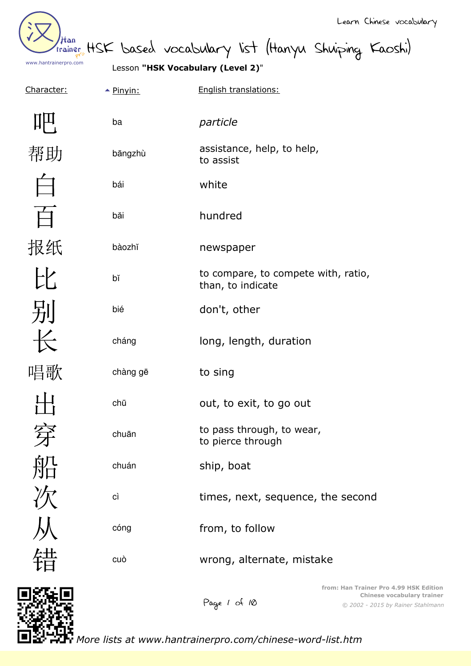| /tan<br>trainer       |  |
|-----------------------|--|
| www.hantrainerpro.com |  |

HSK based vocabulary list (Hanyu Shuiping Kaoshi)

Lesson **"HSK Vocabulary (Level 2)**"

Character:  $\rightarrow$  Pinyin: English translations:

| ba       | particle                                                 |
|----------|----------------------------------------------------------|
| bāngzhù  | assistance, help, to help,<br>to assist                  |
| bái      | white                                                    |
| băi      | hundred                                                  |
| bàozhĭ   | newspaper                                                |
| bĭ       | to compare, to compete with, ratio,<br>than, to indicate |
| bié      | don't, other                                             |
| cháng    | long, length, duration                                   |
| chàng gē | to sing                                                  |
| chū      | out, to exit, to go out                                  |
| chuān    | to pass through, to wear,<br>to pierce through           |
| chuán    | ship, boat                                               |
| cì       | times, next, sequence, the second                        |
| cóng     | from, to follow                                          |
| cuò      | wrong, alternate, mistake                                |
|          | Han Trainer Dr                                           |



Page 1 of 10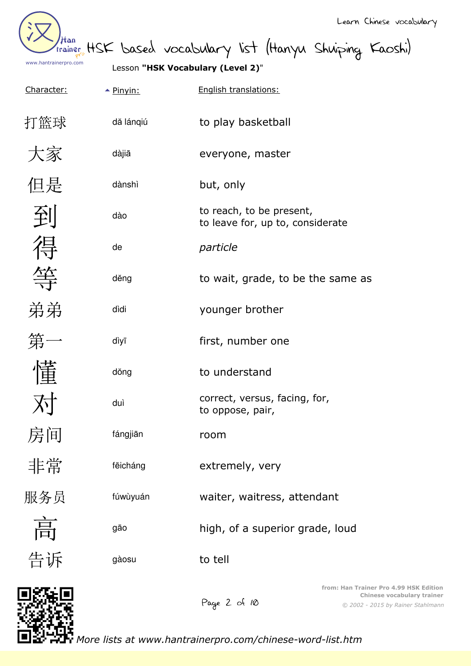

Than HSK based vocabulary list (Hanyu Shuiping Kaoshi)

Lesson **"HSK Vocabulary (Level 2)**"

| Character: | $\triangle$ Pinyin: | English translations:                                        |
|------------|---------------------|--------------------------------------------------------------|
| 打篮球        | dă lángiú           | to play basketball                                           |
| 大家         | dàjiā               | everyone, master                                             |
| 但是         | dànshì              | but, only                                                    |
| 到          | dào                 | to reach, to be present,<br>to leave for, up to, considerate |
| 得          | de                  | particle                                                     |
|            | děng                | to wait, grade, to be the same as                            |
| 弟弟         | dìdi                | younger brother                                              |
| 第一         | dìyī                | first, number one                                            |
| 懂          | dŏng                | to understand                                                |
|            | duì                 | correct, versus, facing, for,<br>to oppose, pair,            |
| 房间         | fángjiān            | room                                                         |
| 非常         | fēicháng            | extremely, very                                              |
| 服务员        | fúwùyuán            | waiter, waitress, attendant                                  |
| 高          | gāo                 | high, of a superior grade, loud                              |
| 告诉         | gàosu               | to tell                                                      |
|            |                     | from: Han Trainer                                            |

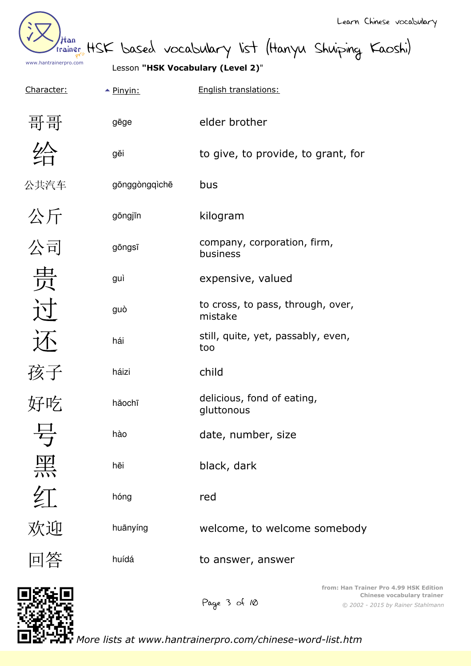| Han<br>www.hantrainerpro.com |                     | Learn Chinese vocabulary<br>trainer HSK based vocabulary list (Hanyu Shuiping Kaoshi)<br>Lesson "HSK Vocabulary (Level 2)" |
|------------------------------|---------------------|----------------------------------------------------------------------------------------------------------------------------|
| Character:                   | $\triangle$ Pinyin: | English translations:                                                                                                      |
| 哥哥                           | gēge                | elder brother                                                                                                              |
|                              | gĕi                 | to give, to provide, to grant, for                                                                                         |
| 公共汽车                         | gōnggòngqìchē       | bus                                                                                                                        |
| 公斤                           | gōngjīn             | kilogram                                                                                                                   |
| 公司                           | gōngsī              | company, corporation, firm,<br>business                                                                                    |
| 贵                            | guì                 | expensive, valued                                                                                                          |
|                              | guò                 | to cross, to pass, through, over,<br>mistake                                                                               |
|                              | hái                 | still, quite, yet, passably, even,<br>too                                                                                  |
| 孩子                           | háizi               | child                                                                                                                      |
| 好吃                           | hăochī              | delicious, fond of eating,<br>gluttonous                                                                                   |
| 号                            | hào                 | date, number, size                                                                                                         |
| 黑                            | hēi                 | black, dark                                                                                                                |
| 红                            | hóng                | red                                                                                                                        |
| 欢迎                           | huānyíng            | welcome, to welcome somebody                                                                                               |
| 回答                           | huídá               | to answer, answer                                                                                                          |
| acter                        |                     | from: Han Trainer Pro 4.99 HSK Edition                                                                                     |

Page 3 of 10

*© 2002 - 2015 by Rainer Stahlmann* **Chinese vocabulary trainer**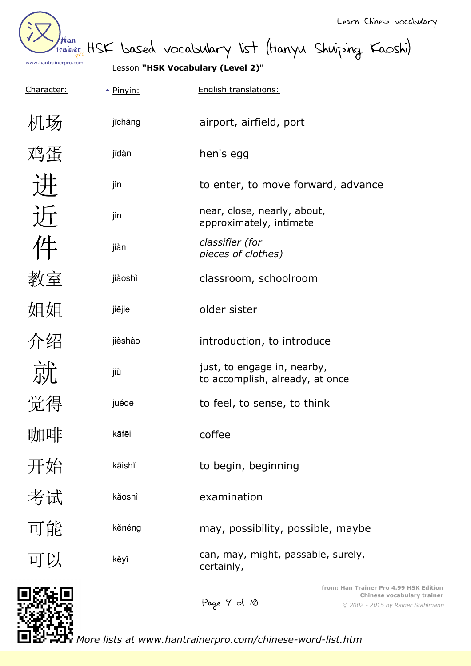

than HSK based vocabulary list (Hanyu Shuiping Kaoshi)

Lesson **"HSK Vocabulary (Level 2)**"

| Character: | $\triangle$ Pinyin: | English translations:                                                                                                     |  |
|------------|---------------------|---------------------------------------------------------------------------------------------------------------------------|--|
| 机场         | jīchăng             | airport, airfield, port                                                                                                   |  |
| 鸡蛋         | jīdàn               | hen's egg                                                                                                                 |  |
|            | jìn                 | to enter, to move forward, advance                                                                                        |  |
| 近          | jìn                 | near, close, nearly, about,<br>approximately, intimate                                                                    |  |
| 件          | jiàn                | classifier (for<br>pieces of clothes)                                                                                     |  |
| 教室         | jiàoshì             | classroom, schoolroom                                                                                                     |  |
| 姐姐         | jiĕjie              | older sister                                                                                                              |  |
| 介绍         | jièshào             | introduction, to introduce                                                                                                |  |
| 就          | jiù                 | just, to engage in, nearby,<br>to accomplish, already, at once                                                            |  |
| 觉得         | juéde               | to feel, to sense, to think                                                                                               |  |
| 咖啡         | kāfēi               | coffee                                                                                                                    |  |
| 开始         | kāishĭ              | to begin, beginning                                                                                                       |  |
| 考试         | kăoshì              | examination                                                                                                               |  |
| 可能         | kěnéng              | may, possibility, possible, maybe                                                                                         |  |
| 可以         | kĕyĭ                | can, may, might, passable, surely,<br>certainly,                                                                          |  |
|            |                     | from: Han Trainer Pro 4.99 HSK Edition<br>Chinese vocabulary trainer<br>Page 4 of 10<br>© 2002 - 2015 by Rainer Stahlmann |  |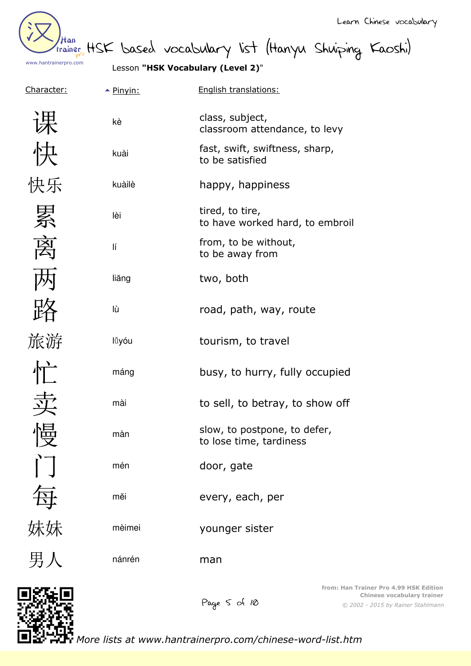Han www.hantrainerpro.com

Learn Chinese vocabulary

trainer HSK based vocabulary list (Hanyu Shuiping Kaoshi)

Lesson **"HSK Vocabulary (Level 2)**"

| Character:                | $\triangle$ Pinyin: | English translations:                                   |
|---------------------------|---------------------|---------------------------------------------------------|
| 课                         | kè                  | class, subject,<br>classroom attendance, to levy        |
| 快                         | kuài                | fast, swift, swiftness, sharp,<br>to be satisfied       |
| 快乐                        | kuàilè              | happy, happiness                                        |
| 累                         | lèi                 | tired, to tire,<br>to have worked hard, to embroi       |
| 离                         | lí                  | from, to be without,<br>to be away from                 |
|                           | liăng               | two, both                                               |
|                           | lù                  | road, path, way, route                                  |
| 旅游                        | lǚyóu               | tourism, to travel                                      |
| $\prod$                   | máng                | busy, to hurry, fully occupied                          |
|                           | mài                 | to sell, to betray, to show off                         |
| 临<br>$\bm{\mathsf{\chi}}$ | màn                 | slow, to postpone, to defer,<br>to lose time, tardiness |
|                           | mén                 | door, gate                                              |
| 每妹妹                       | měi                 | every, each, per                                        |
|                           | mèimei              | younger sister                                          |
| 男人                        | nánrén              | man                                                     |
|                           |                     |                                                         |

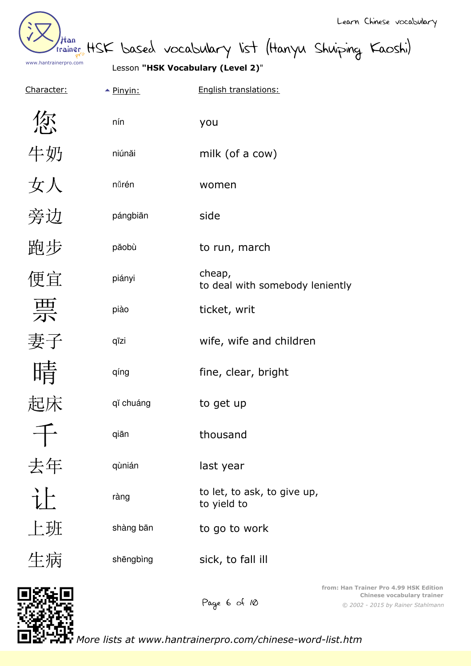Han www.hantrainerpro.com

Learn Chinese vocabulary

than HSK based vocabulary list (Hanyu Shuiping Kaoshi)

Lesson **"HSK Vocabulary (Level 2)**"

| <u>Character:</u> | $\triangle$ Pinyin: | English translations:                      |
|-------------------|---------------------|--------------------------------------------|
| 您                 | nín                 | you                                        |
| 牛奶                | niúnăi              | milk (of a cow)                            |
| 女人                | nůrén               | women                                      |
| 旁边                | pángbiān            | side                                       |
| 跑步                | păobù               | to run, march                              |
| 便宜                | piányi              | cheap,<br>to deal with somebody leniently  |
| 票                 | piào                | ticket, writ                               |
| 妻子                | qīzi                | wife, wife and children                    |
| 晴                 | qíng                | fine, clear, bright                        |
| 起床                | qĭ chuáng           | to get up                                  |
|                   | qiān                | thousand                                   |
| 去年                | qùnián              | last year                                  |
| 让                 | ràng                | to let, to ask, to give up,<br>to yield to |
| 上班                | shàng bān           | to go to work                              |
| 生病                | shēngbìng           | sick, to fall ill                          |
|                   |                     | from: Han Trainer                          |



*© 2002 - 2015 by Rainer Stahlmann* **from: Han Trainer Pro 4.99 HSK Edition Chinese vocabulary trainer**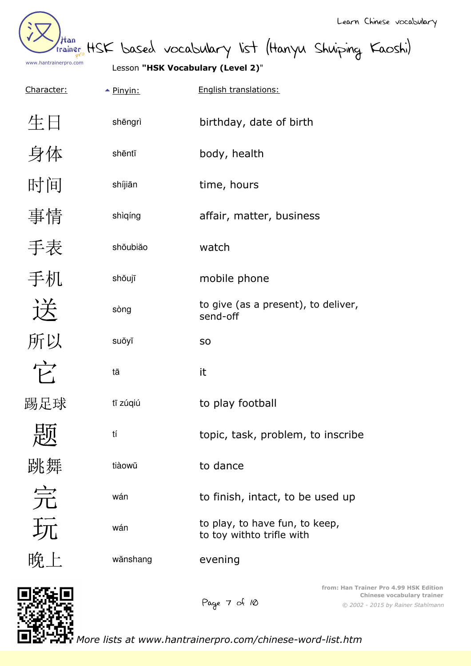Han www.hantrainerpro.com

than HSK based vocabulary list (Hanyu Shuiping Kaoshi)

Lesson **"HSK Vocabulary (Level 2)**"

| Character:           | $\triangle$ Pinyin: | English translations:                                       |
|----------------------|---------------------|-------------------------------------------------------------|
| 生日                   | shēngrì             | birthday, date of birth                                     |
| 身体                   | shēntĭ              | body, health                                                |
| 时间                   | shíjiān             | time, hours                                                 |
| 事情                   | shìqíng             | affair, matter, business                                    |
| 手表                   | shoubião            | watch                                                       |
| 手机                   | shŏujī              | mobile phone                                                |
| 送                    | sòng                | to give (as a present), to deliver,<br>send-off             |
| 所以                   | suŏyĭ               | S <sub>O</sub>                                              |
| $\overrightarrow{F}$ | tā                  | it                                                          |
| 踢足球                  | tī zúqiú            | to play football                                            |
| 心                    | tí                  | topic, task, problem, to inscribe                           |
| 跳舞                   | tiàowŭ              | to dance                                                    |
| 云                    | wán                 | to finish, intact, to be used up                            |
| 玩                    | wán                 | to play, to have fun, to keep,<br>to toy withto trifle with |
| 晚上                   | wänshang            | evening                                                     |
|                      |                     |                                                             |

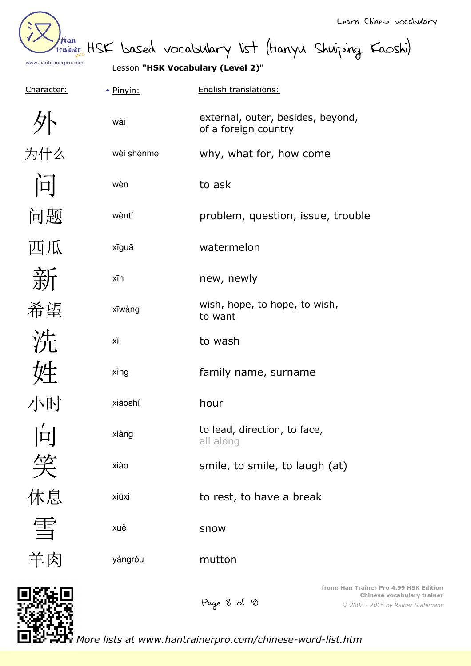Han www.hantrainerpro.com

than HSK based vocabulary list (Hanyu Shuiping Kaoshi)

Lesson **"HSK Vocabulary (Level 2)**"

| Character: | $\triangle$ Pinyin: | English translations:                                     |
|------------|---------------------|-----------------------------------------------------------|
|            | wài                 | external, outer, besides, beyond,<br>of a foreign country |
| 为什么        | wèi shénme          | why, what for, how come                                   |
| 问          | wèn                 | to ask                                                    |
| 问题         | wèntí               | problem, question, issue, trouble                         |
| 西瓜         | xīguā               | watermelon                                                |
| 新          | xīn                 | new, newly                                                |
| 希望         | xīwàng              | wish, hope, to hope, to wish,<br>to want                  |
| 洗          | ΧĬ                  | to wash                                                   |
| 姓          | xìng                | family name, surname                                      |
| 小时         | xiăoshí             | hour                                                      |
| 向          | xiàng               | to lead, direction, to face,<br>all along                 |
| 笑          | xiào                | smile, to smile, to laugh (at)                            |
| 休息         | xiūxi               | to rest, to have a break                                  |
| 雪          | xuĕ                 | snow                                                      |
| 羊肉         | yángròu             | mutton                                                    |
| ascem      |                     | from: Han Trainer F                                       |

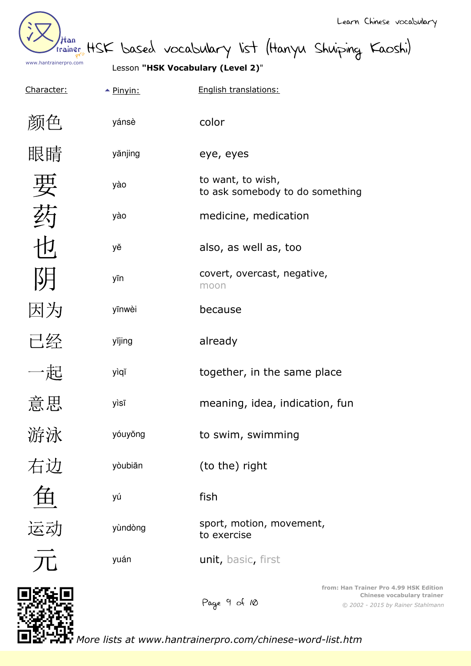

than HSK based vocabulary list (Hanyu Shuiping Kaoshi)

Lesson **"HSK Vocabulary (Level 2)**"

| <u>Character:</u> | $\triangle$ Pinyin: | English translations:                                |
|-------------------|---------------------|------------------------------------------------------|
| 颜色                | yánsè               | color                                                |
| 眼睛                | yănjing             | eye, eyes                                            |
| 要                 | yào                 | to want, to wish,<br>to ask somebody to do something |
| 药                 | yào                 | medicine, medication                                 |
| 也                 | уĕ                  | also, as well as, too                                |
| 阴                 | yīn                 | covert, overcast, negative,<br>moon                  |
| 因为                | yīnwèi              | because                                              |
| 已经                | yĭjing              | already                                              |
| 一起                | yìqĭ                | together, in the same place                          |
| 意思                | yìsī                | meaning, idea, indication, fun                       |
| 游泳                | yóuyŏng             | to swim, swimming                                    |
| 右边                | yòubiān             | (to the) right                                       |
|                   | уú                  | fish                                                 |
| 运动                | yùndòng             | sport, motion, movement,<br>to exercise              |
|                   | yuán                | unit, basic, first                                   |
|                   |                     | from: Han Trair<br>Page 9 of 10<br>$© 2002 -$        |

*© 2002 - 2015 by Rainer Stahlmann* **finer Pro 4.99 HSK Edition Chinese vocabulary trainer**